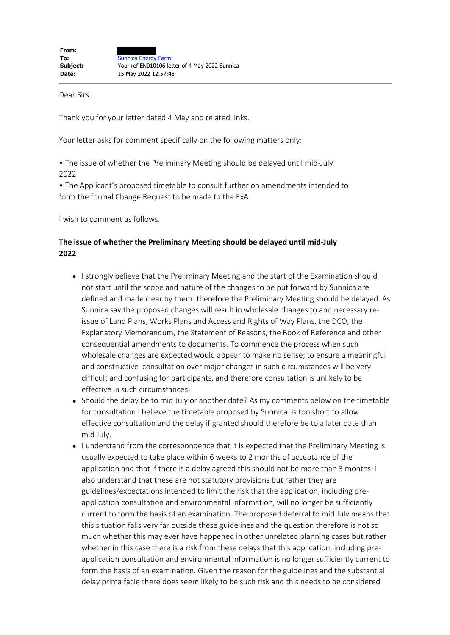Dear Sirs

Thank you for your letter dated 4 May and related links.

Your letter asks for comment specifically on the following matters only:

• The issue of whether the Preliminary Meeting should be delayed until mid-July 2022

• The Applicant's proposed timetable to consult further on amendments intended to form the formal Change Request to be made to the ExA.

I wish to comment as follows.

## **The issue of whether the Preliminary Meeting should be delayed until mid-July 2022**

- I strongly believe that the Preliminary Meeting and the start of the Examination should not start until the scope and nature of the changes to be put forward by Sunnica are defined and made clear by them: therefore the Preliminary Meeting should be delayed. As Sunnica say the proposed changes will result in wholesale changes to and necessary reissue of Land Plans, Works Plans and Access and Rights of Way Plans, the DCO, the Explanatory Memorandum, the Statement of Reasons, the Book of Reference and other consequential amendments to documents. To commence the process when such wholesale changes are expected would appear to make no sense; to ensure a meaningful and constructive consultation over major changes in such circumstances will be very difficult and confusing for participants, and therefore consultation is unlikely to be effective in such circumstances.
- Should the delay be to mid July or another date? As my comments below on the timetable for consultation I believe the timetable proposed by Sunnica is too short to allow effective consultation and the delay if granted should therefore be to a later date than mid July.
- I understand from the correspondence that it is expected that the Preliminary Meeting is usually expected to take place within 6 weeks to 2 months of acceptance of the application and that if there is a delay agreed this should not be more than 3 months. I also understand that these are not statutory provisions but rather they are guidelines/expectations intended to limit the risk that the application, including preapplication consultation and environmental information, will no longer be sufficiently current to form the basis of an examination. The proposed deferral to mid July means that this situation falls very far outside these guidelines and the question therefore is not so much whether this may ever have happened in other unrelated planning cases but rather whether in this case there is a risk from these delays that this application, including preapplication consultation and environmental information is no longer sufficiently current to form the basis of an examination. Given the reason for the guidelines and the substantial delay prima facie there does seem likely to be such risk and this needs to be considered